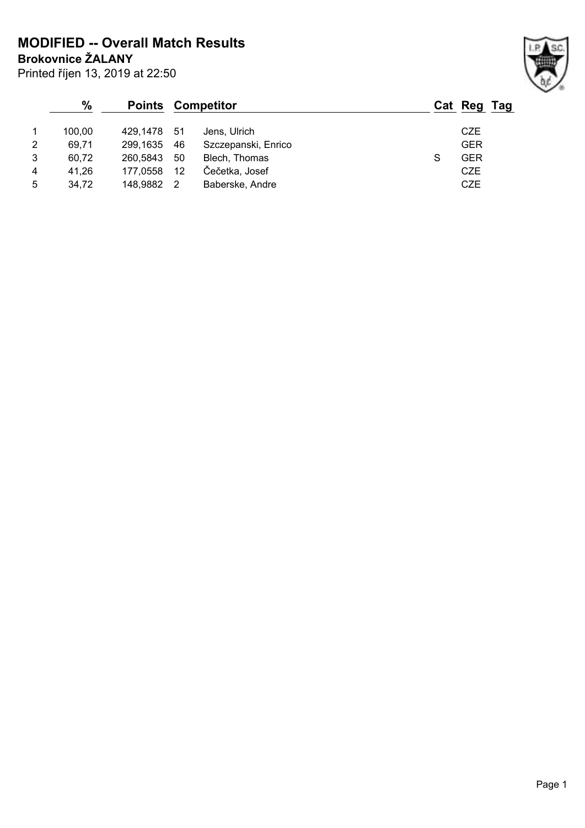**Brokovnice ŽALANY MODIFIED -- Overall Match Results**

|                | $\frac{0}{0}$<br><b>Points</b> |             | Competitor        |                     | Cat Reg Tag |  |
|----------------|--------------------------------|-------------|-------------------|---------------------|-------------|--|
|                | 100.00                         | 429.1478 51 |                   | Jens, Ulrich        | CZE         |  |
| 2              | 69.71                          | 299,1635    | 46                | Szczepanski, Enrico | <b>GER</b>  |  |
| 3              | 60.72                          | 260,5843    | 50                | Blech, Thomas       | <b>GER</b>  |  |
| $\overline{4}$ | 41,26                          | 177,0558    | $12 \overline{ }$ | Čečetka, Josef      | CZE         |  |
| 5              | 34.72                          | 148.9882    |                   | Baberske, Andre     | CZE         |  |

Printed říjen 13, 2019 at 22:50

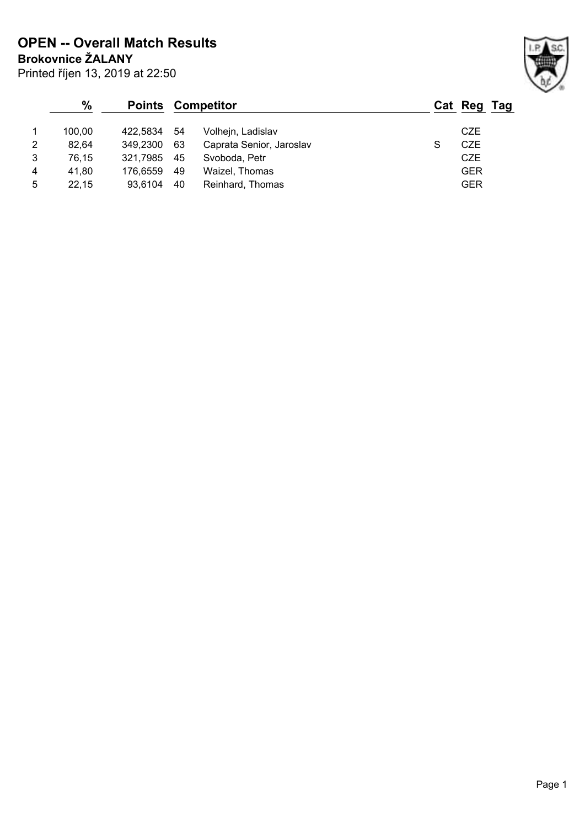**Brokovnice ŽALANY OPEN -- Overall Match Results**

|                | $\frac{9}{6}$ |          | <b>Points Competitor</b> |                          |   | Cat Reg Tag |  |
|----------------|---------------|----------|--------------------------|--------------------------|---|-------------|--|
|                | 100.00        | 422.5834 | 54                       | Volhejn, Ladislav        |   | <b>CZE</b>  |  |
| 2              | 82.64         | 349.2300 | 63                       | Caprata Senior, Jaroslav | S | CZE         |  |
| 3              | 76,15         | 321,7985 | 45                       | Svoboda, Petr            |   | <b>CZE</b>  |  |
| $\overline{4}$ | 41.80         | 176.6559 | 49                       | Waizel, Thomas           |   | <b>GER</b>  |  |
| 5              | 22,15         | 93.6104  | 40                       | Reinhard, Thomas         |   | <b>GER</b>  |  |

Printed říjen 13, 2019 at 22:50

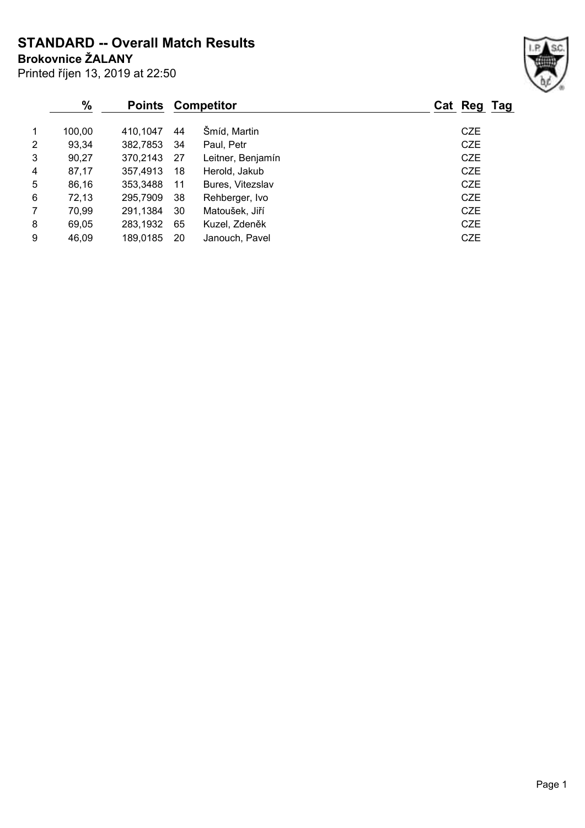Printed říjen 13, 2019 at 22:50 **Brokovnice ŽALANY STANDARD -- Overall Match Results**

|   | %<br><b>Points</b> |          |    | <b>Competitor</b> | Cat Reg Tag |
|---|--------------------|----------|----|-------------------|-------------|
| 1 | 100,00             | 410,1047 | 44 | Šmíd, Martin      | <b>CZE</b>  |
| 2 | 93,34              | 382,7853 | 34 | Paul, Petr        | <b>CZE</b>  |
| 3 | 90,27              | 370,2143 | 27 | Leitner, Benjamín | <b>CZE</b>  |
| 4 | 87,17              | 357,4913 | 18 | Herold, Jakub     | <b>CZE</b>  |
| 5 | 86,16              | 353,3488 | 11 | Bures, Vitezslav  | <b>CZE</b>  |
| 6 | 72,13              | 295,7909 | 38 | Rehberger, Ivo    | <b>CZE</b>  |
| 7 | 70,99              | 291,1384 | 30 | Matoušek, Jiří    | CZE         |
| 8 | 69,05              | 283,1932 | 65 | Kuzel, Zdeněk     | <b>CZE</b>  |
| 9 | 46,09              | 189,0185 | 20 | Janouch, Pavel    | <b>CZE</b>  |